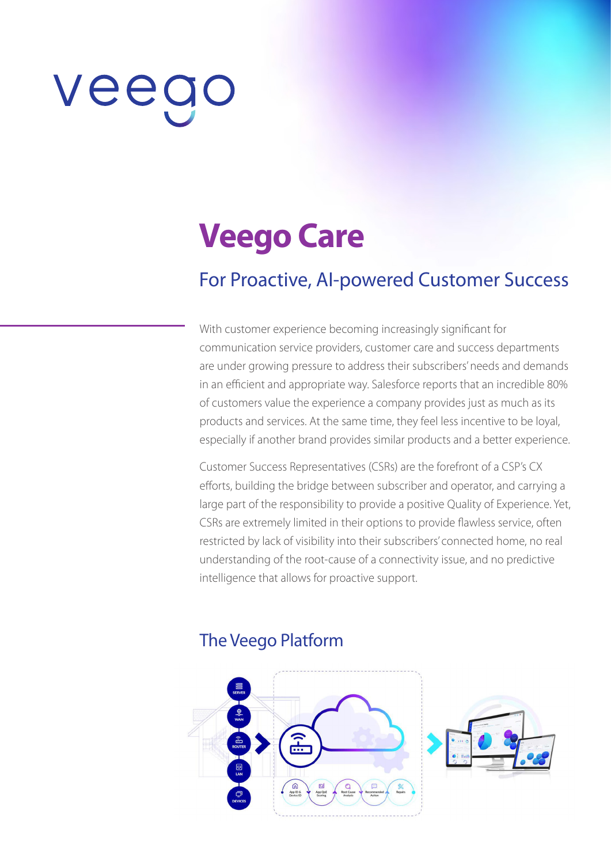# veeg

# **Veego Care**

# For Proactive, AI-powered Customer Success

With customer experience becoming increasingly significant for communication service providers, customer care and success departments are under growing pressure to address their subscribers' needs and demands in an efficient and appropriate way. Salesforce reports that an incredible 80% of customers value the experience a company provides just as much as its products and services. At the same time, they feel less incentive to be loyal, especially if another brand provides similar products and a better experience.

Customer Success Representatives (CSRs) are the forefront of a CSP's CX efforts, building the bridge between subscriber and operator, and carrying a large part of the responsibility to provide a positive Quality of Experience. Yet, CSRs are extremely limited in their options to provide flawless service, often restricted by lack of visibility into their subscribers' connected home, no real understanding of the root-cause of a connectivity issue, and no predictive intelligence that allows for proactive support.

#### The Veego Platform

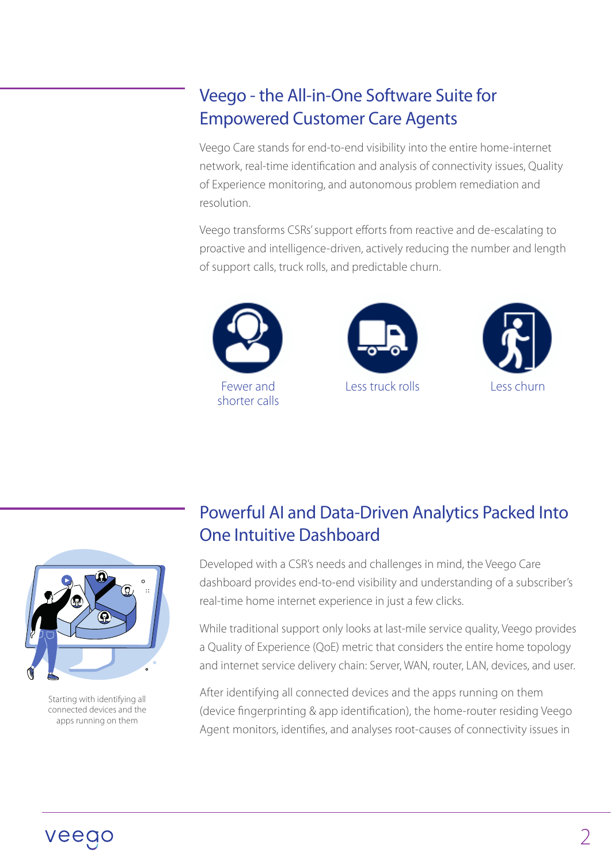# Veego - the All-in-One Software Suite for Empowered Customer Care Agents

Veego Care stands for end-to-end visibility into the entire home-internet network, real-time identification and analysis of connectivity issues, Quality of Experience monitoring, and autonomous problem remediation and resolution.

Veego transforms CSRs' support efforts from reactive and de-escalating to proactive and intelligence-driven, actively reducing the number and length of support calls, truck rolls, and predictable churn.









Starting with identifying all connected devices and the apps running on them

# Powerful AI and Data-Driven Analytics Packed Into One Intuitive Dashboard

Developed with a CSR's needs and challenges in mind, the Veego Care dashboard provides end-to-end visibility and understanding of a subscriber's real-time home internet experience in just a few clicks.

While traditional support only looks at last-mile service quality, Veego provides a Quality of Experience (QoE) metric that considers the entire home topology and internet service delivery chain: Server, WAN, router, LAN, devices, and user.

After identifying all connected devices and the apps running on them (device fingerprinting & app identification), the home-router residing Veego Agent monitors, identifies, and analyses root-causes of connectivity issues in